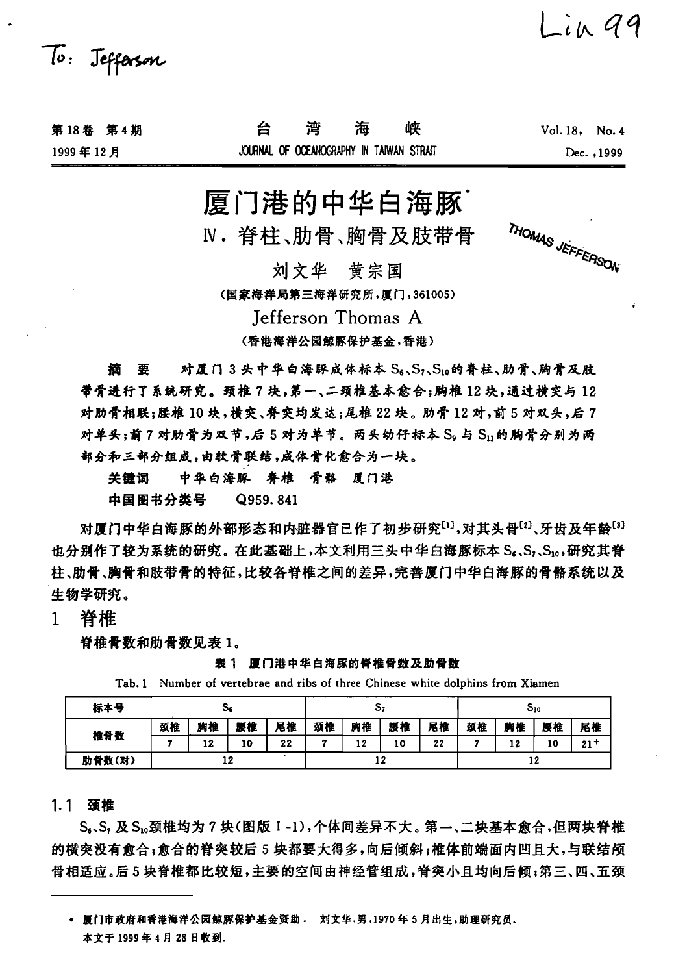

| 第18卷 第4期 | 湾                                        | 海 | 峡 | $Vol. 18.$ No. 4 |
|----------|------------------------------------------|---|---|------------------|
| 1999年12月 | JOURNAL OF OCEANOGRAPHY IN TAIWAN STRAIT |   |   | Dec. 1999        |

# 厦门港的中华白海豚

N. 脊柱、肋骨、胸骨及肢带骨

THOMAS JEFFERSON

 $\int$  in 99

刘文华 黄宗国

(国家海洋局第三海洋研究所,厦门,361005)

Jefferson Thomas A (香港海洋公园鲸豚保护基金,香港)

对厦门3头中华白海豚成体标本 S6、S7、S10的脊柱、肋骨、胸骨及肢 樀 要 带骨进行了系统研究。颈椎7块,第一、二颈椎基本愈合;胸椎12块,通过横突与12 对肋骨相联;腰椎 10 块,横突、脊突均发达;尾椎 22 块。肋骨 12 对,前 5 对双头,后 7 对单头;前?对肋骨为双节,后5对为单节。两头幼仔标本 Sg与 S1;的胸骨分别为两 部分和三部分组成,由软骨联结,成体骨化愈合为一块。

中华白海豚 脊椎 骨骼 厦门港 关键词 中国图书分类号 Q959.841

对厦门中华白海豚的外部形态和内脏器官已作了初步研究[1],对其头骨[2]、牙齿及年龄[3] 也分别作了较为系统的研究。在此基础上,本文利用三头中华白海豚标本 S。、S,、S,g,研究其脊 柱、肋骨、胸骨和肢带骨的特征,比较各脊椎之间的差异,完善厦门中华白海豚的骨骼系统以及 生物学研究。

脊椎  $1$ 

脊椎骨数和肋骨数见表 1。

表 1 厦门港中华白海豚的脊椎骨数及肋骨数

| 标本号    |    | ు  |         |    |    | ړي. |     |    |    |    | $\mathbf{S_{10}}$ |          |
|--------|----|----|---------|----|----|-----|-----|----|----|----|-------------------|----------|
| 椎骨数    | 颈椎 | 胸椎 | 腰椎      | 尾椎 | 颈椎 | 胸椎  | 腰椎  | 尾椎 | 颈椎 | 胸椎 | 腰椎                | 尾椎       |
|        |    | 12 | 10      | 22 |    | 12  | 10  | 22 | ×  | 12 | 10                | $21^{+}$ |
| 肋骨数(对) |    |    | ۱9<br>. |    |    |     | 0 ו |    |    |    |                   |          |

Tab. 1 Number of vertebrae and ribs of three Chinese white dolphins from Xiamen

## 1.1 颈椎

S.、S, 及 S.。颈椎均为 7 块(图版 I-1),个体间差异不大。第一、二块基本愈合,但两块脊椎 的横突没有愈合;愈合的脊突较后5块都要大得多,向后倾斜;椎体前端面内凹且大,与联结颅 骨相适应。后5块脊椎都比较短,主要的空间由神经管组成,脊突小日均向后倾;第三、四、五颈

<sup>•</sup> 厦门市政府和香港海洋公园鲸豚保护基金资助 · 刘文华、男,1970年5月出生,助理研究员. 本文于 1999年4月28日收到.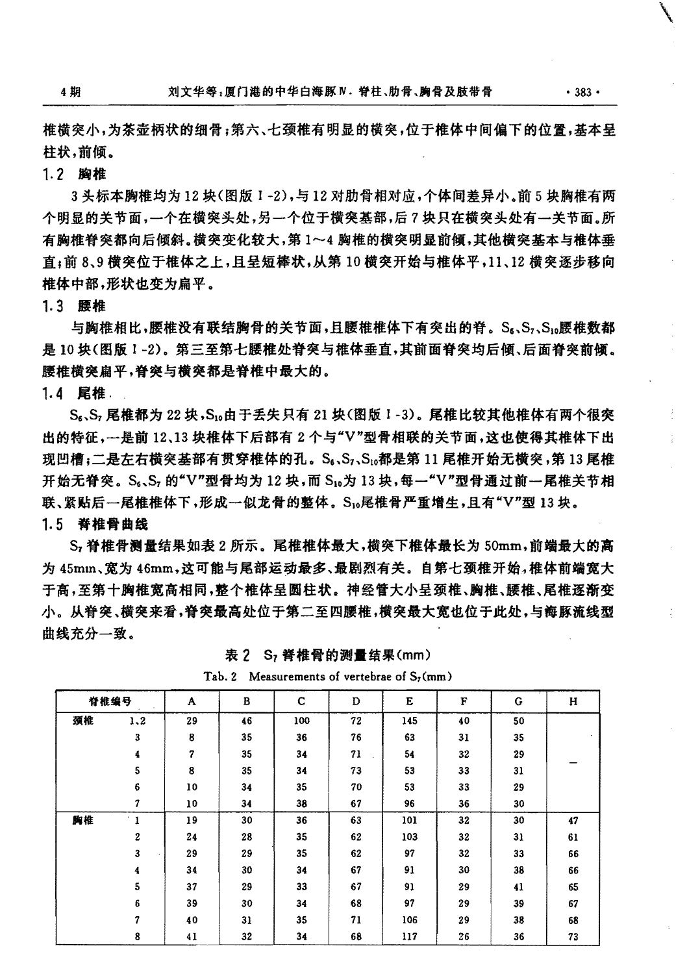椎横突小,为茶壶柄状的细骨;第六、七颈椎有明显的横突,位于椎体中间偏下的位置,基本呈 柱状,前倾。

## 1.2 胸椎

3头标本胸椎均为12块(图版 1-2),与12对肋骨相对应,个体间差异小。前5块胸椎有两 个明显的关节面,一个在横突头处,另一个位于横突基部,后?块只在横突头处有一关节面。所 有胸椎脊突都向后倾斜。横突变化较大,第1~4胸椎的横突明显前倾,其他横突基本与椎体垂 直;前 8、9 横突位于椎体之上,且呈短棒状,从第 10 横突开始与椎体平,11、12 横突逐步移向 椎体中部,形状也变为扁平。

### 1.3 腰椎

与胸椎相比,腰椎没有联结胸骨的关节面,日腰椎椎体下有突出的脊。Sk,S,、S1,腰椎数都 是10块(图版1-2)。第三至第七腰椎处脊突与椎体垂直,其前面脊突均后倾、后面脊突前倾。 腰椎横突扁平,脊突与横突都是脊椎中最大的。

1.4 尾椎.

S.、S, 尾椎都为 22 块,S1。由于丢失只有 21 块(图版 I-3)。尾椎比较其他椎体有两个很突 出的特征, 一是前 12、13 块椎体下后部有 2 个与"V"型骨相联的关节面, 这也使得其椎体下出 现凹槽;二是左右横突基部有贯穿椎体的孔。S。、S、、S1。都是第 11 尾椎开始无横突,第 13 尾椎 开始无脊突。S.、S, 的"V"型骨均为 12 块, 而 S10为 13 块, 每一"V"型骨通过前一尾椎关节相 联、紧贴后一尾椎椎体下,形成一似龙骨的整体。S1g尾椎骨严重增生,且有"V"型13块。 1.5 脊椎骨曲线

S, 脊椎骨测量结果如表 2 所示。尾椎椎体最大,横突下椎体最长为 50mm,前端最大的高 为 45mm、宽为 46mm、这可能与尾部运动最多、最剧烈有关。自第七颈椎开始,椎体前端宽大 于高,至第十胸椎宽高相同,整个椎体呈圆柱状。神经管大小呈颈椎、胸椎、腰椎、尾椎逐渐变 小。从脊突、横突来看,脊突最高处位于第二至四腰椎,横突最大宽也位于此处,与海豚流线型 曲线充分一致。

|    | 脊椎编号                       | A  | В  | C   | D  | E   | F  | G  | н  |
|----|----------------------------|----|----|-----|----|-----|----|----|----|
| 颈椎 | 1.2                        | 29 | 46 | 100 | 72 | 145 | 40 | 50 |    |
|    | 3                          | 8  | 35 | 36  | 76 | 63  | 31 | 35 |    |
|    | 4                          | 7  | 35 | 34  | 71 | 54  | 32 | 29 |    |
|    | 5                          | 8  | 35 | 34  | 73 | 53  | 33 | 31 |    |
|    | 6                          | 10 | 34 | 35  | 70 | 53  | 33 | 29 |    |
|    | 7                          | 10 | 34 | 38  | 67 | 96  | 36 | 30 |    |
| 胸椎 | $\epsilon$<br>$\mathbf{I}$ | 19 | 30 | 36  | 63 | 101 | 32 | 30 | 47 |
|    | 2                          | 24 | 28 | 35  | 62 | 103 | 32 | 31 | 61 |
|    | 3                          | 29 | 29 | 35  | 62 | 97  | 32 | 33 | 66 |
|    | 4                          | 34 | 30 | 34  | 67 | 91  | 30 | 38 | 66 |
|    | 5                          | 37 | 29 | 33  | 67 | 91  | 29 | 41 | 65 |
|    | 6                          | 39 | 30 | 34  | 68 | 97  | 29 | 39 | 67 |
|    | 7                          | 40 | 31 | 35  | 71 | 106 | 29 | 38 | 68 |
|    | 8                          | 41 | 32 | 34  | 68 | 117 | 26 | 36 | 73 |

表 2 S<sub>7</sub> 脊椎骨的测量结果(mm)

Tab. 2 Measurements of vertebrae of S<sub>7</sub>(mm)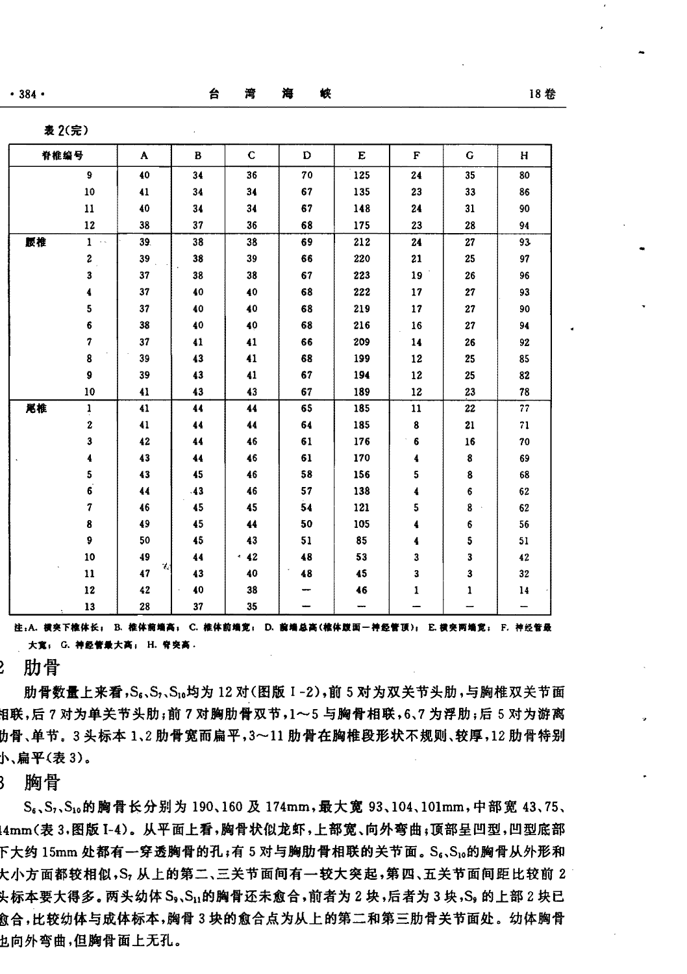$•384 •$ 

台

|    | <b>农 ムハル</b>                  |                                |     |             |    |     |        |    |    |
|----|-------------------------------|--------------------------------|-----|-------------|----|-----|--------|----|----|
|    | 脊椎编号                          | A                              | B   | $\mathbf C$ | D  | E   | F      | G  | H  |
|    | 9                             | 40                             | 34  | 36          | 70 | 125 | 24     | 35 | 80 |
|    | ${\bf 10}$                    | 41                             | 34  | 34          | 67 | 135 | 23     | 33 | 86 |
|    | $\mathbf{11}$                 | 40                             | 34  | 34          | 67 | 148 | 24     | 31 | 90 |
|    | 12                            | 38                             | 37  | 36          | 68 | 175 | 23     | 28 | 94 |
| 腰椎 | $\mathbf{1}$<br>$\sim$ $\sim$ | 39.                            | 38  | 38          | 69 | 212 | 24     | 27 | 93 |
|    | $\mathbf{2}$                  | 39                             | 38  | 39          | 66 | 220 | 21     | 25 | 97 |
|    | $\overline{\mathbf{3}}$       | $37\,$                         | 38  | 38          | 67 | 223 | $19-1$ | 26 | 96 |
|    | 4                             | 37                             | 40  | 40          | 68 | 222 | 17     | 27 | 93 |
|    | 5                             | 37                             | 40  | 40          | 68 | 219 | 17     | 27 | 90 |
|    | 6                             | 38                             | 40  | 40          | 68 | 216 | 16     | 27 | 94 |
|    | 7                             | 37                             | 41  | 41          | 66 | 209 | 14     | 26 | 92 |
|    | 8                             | 39                             | 43  | 41          | 68 | 199 | 12     | 25 | 85 |
|    | 9                             | 39                             | 43  | 41          | 67 | 194 | 12     | 25 | 82 |
|    | 10                            | 41                             | 43  | 43          | 67 | 189 | 12     | 23 | 78 |
| 尾椎 | $\mathbf{i}$                  | 41                             | 44  | 44          | 65 | 185 | 11     | 22 | 77 |
|    | $\bf{2}$                      | 41                             | 44  | 44          | 64 | 185 | 8      | 21 | 71 |
|    | 3                             | 42                             | 44  | 46          | 61 | 176 | 6      | 16 | 70 |
|    | 4                             | 43                             | 44  | 46          | 61 | 170 | 4      | 8  | 69 |
|    | 5                             | 43                             | 45  | 46          | 58 | 156 | 5      | 8  | 68 |
|    | $\vec{6}$                     | 44                             | .43 | 46          | 57 | 138 | 4      | 6  | 62 |
|    | 7                             | 46                             | 45  | 45          | 54 | 121 | 5      | 8  | 62 |
|    | 8                             | 49                             | 45  | 44          | 50 | 105 | 4      | 6  | 56 |
|    | 9                             | 50                             | 45  | 43          | 51 | 85  | 4      | 5  | 51 |
|    | 10                            | 49<br>$\mathcal{C}_\mathbf{a}$ | 44  | $\cdot$ 42  | 48 | 53  | 3      | 3  | 42 |
|    | $\bf{11}$                     | 47                             | 43  | 40          | 48 | 45  | 3      | 3  | 32 |
|    | 12                            | 42                             | 40  | 38          |    | 46  | 1      | 1  | 14 |
|    | 13                            | 28                             | 37  | 35          |    |     |        |    |    |

注:A. 模突下椎体长; B. 椎体前端高; C. 椎体前端宽; D. 前端总高(椎体跋面一神经管顶); E. 模突两端宽; F. 神经管最 大寬; G. 神经管最大高; H. 脊突高.

肋骨

肋骨数量上来看, S<sub>s</sub>、S<sub>s</sub>、S<sub>u</sub>均为 12 对(图版 I-2), 前 5 对为双关节头肋, 与胸椎双关节面 泪联,后?对为单关节头肋;前?对胸肋骨双节,1~5 与胸骨相联,6、7 为浮肋;后 5 对为游离 协骨、单节。3头标本 1、2 肋骨宽而扁平,3~11 肋骨在胸椎段形状不规则、较厚,12 肋骨特别 小、扁平(表3)。

胸骨 ₹

S<sub>6</sub>、S<sub>1</sub>、S<sub>1</sub>。的胸骨长分别为 190、160 及 174mm, 最大宽 93、104、101mm, 中部宽 43、75、 !4mm(表 3.图版 I-4)。从平面上看,胸骨状似龙虾,上部宽、向外弯曲;顶部呈凹型,凹型底部 下大约 15mm 处都有一穿透胸骨的孔;有 5 对与胸肋骨相联的关节面。S。、S1。的胸骨从外形和 大小方面都较相似,S,从上的第二、三关节面间有一较大突起,第四、五关节面间距比较前 2 头标本要大得多。两头幼体 S、、S,,的胸骨还未愈合,前者为 2 块,后者为 3 块,S。的上部 2 块已 愈合,比较幼体与成体标本,胸骨 3 块的愈合点为从上的第二和第三肋骨关节面处。幼体胸骨 乜向外弯曲,但胸骨面上无孔。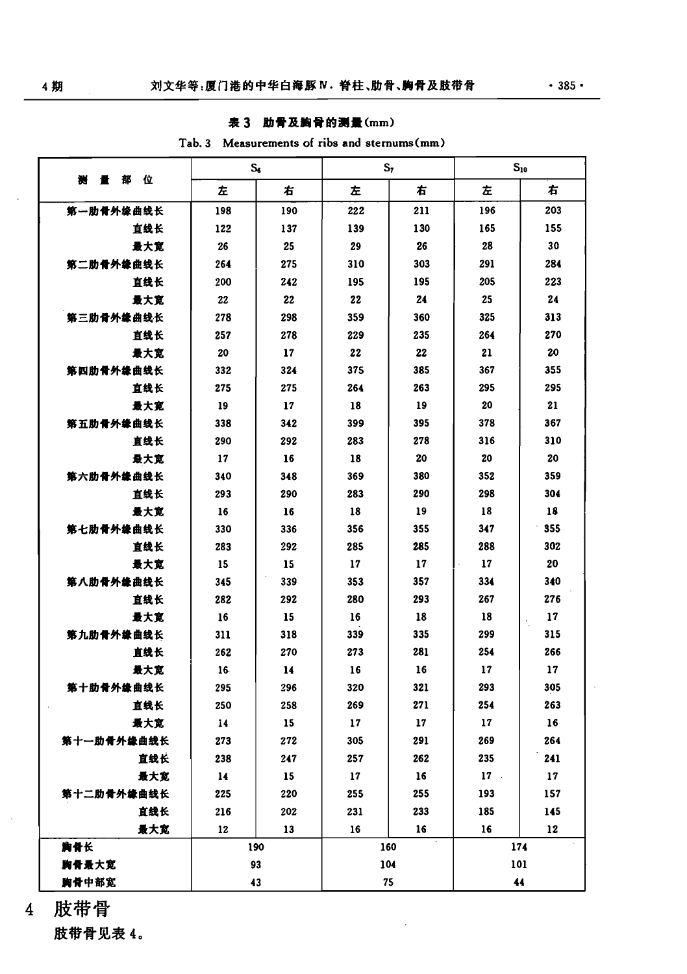# 表 3 肋骨及胸骨的测量(mm)

|  | Tab. 3 Measurements of ribs and sternums (mm) |  |  |  |
|--|-----------------------------------------------|--|--|--|
|--|-----------------------------------------------|--|--|--|

|              | $S_{\rm s}$ |     | $S_{I}$ |     | $S_{10}$ |                          |  |
|--------------|-------------|-----|---------|-----|----------|--------------------------|--|
| 量部<br>位<br>灩 | 左           | 右   | 左       | 右   | 左        | 右                        |  |
| 第一肋骨外缘曲线长    | 198         | 190 | 222     | 211 | 196      | 203                      |  |
| 直线长          | 122         | 137 | 139     | 130 | 165      | 155                      |  |
| 最大宽          | 26          | 25  | 29      | 26  | 28       | 30                       |  |
| 第二肋骨外缘曲线长    | 264         | 275 | 310     | 303 | 291      | 284                      |  |
| 直线长          | 200         | 242 | 195     | 195 | 205      | 223                      |  |
| 最大宽          | 22          | 22  | 22      | 24  | 25       | 24                       |  |
| 第三肋骨外缘曲线长    | 278         | 298 | 359     | 360 | 325      | 313                      |  |
| 直线长          | 257         | 278 | 229     | 235 | 264      | 270                      |  |
| 最大宽          | 20          | 17  | 22      | 22  | 21       | 20                       |  |
| 第四肋骨外缘曲线长    | 332         | 324 | 375     | 385 | 367      | 355                      |  |
| 直线长          | 275         | 275 | 264     | 263 | 295      | 295                      |  |
| 最大宽          | 19          | 17  | 18      | 19  | 20       | 21                       |  |
| 第五肋骨外缘曲线长    | 338         | 342 | 399     | 395 | 378      | 367                      |  |
| 直线长          | 290         | 292 | 283     | 278 | 316      | 310                      |  |
| 最大寛          | 17          | 16  | 18      | 20  | 20       | 20                       |  |
| 第六肋骨外缘曲线长    | 340         | 348 | 369     | 380 | 352      | 359                      |  |
| 直线长          | 293         | 290 | 283     | 290 | 298      | 304                      |  |
| 最大宽          | 16          | 16  | 18      | 19  | 18       | 18                       |  |
| 第七肋骨外缘曲线长    | 330         | 336 | 356     | 355 | 347      | 355                      |  |
| 直线长          | 283         | 292 | 285     | 285 | 288      | 302                      |  |
| 最大宽          | 15          | 15  | 17      | 17  | 17       | 20                       |  |
| 第八肋骨外缘曲线长    | 345         | 339 | 353     | 357 | 334      | 340                      |  |
| 直线长          | 282         | 292 | 280     | 293 | 267      | 276                      |  |
| 最大宽          | 16          | 15  | 16      | 18  | 18       | 17<br>$\epsilon_{\rm i}$ |  |
| 第九肋骨外缘曲线长    | 311         | 318 | 339     | 335 | 299      | 315                      |  |
| 直线长          | 262         | 270 | 273     | 281 | 254      | 266                      |  |
| 最大寛          | 16          | 14  | 16      | 16  | 17       | 17                       |  |
| 第十肋骨外缘曲线长    | 295         | 296 | 320     | 321 | 293      | 305                      |  |
| 直线长          | 250         | 258 | 269     | 271 | 254      | 263                      |  |
| 最大竞          | 14          | 15  | 17      | 17  | 17       | 16                       |  |
| 第十一肋骨外缘曲线长   | 273         | 272 | 305     | 291 | 269      | 264                      |  |
| 直线长          | 238         | 247 | 257     | 262 | 235      | 241                      |  |
| 景大寛          | $\bf{14}$   | 15  | 17      | 16  | $17 -$   | 17                       |  |
| 第十二肋骨外缘曲线长   | 225         | 220 | 255     | 255 | 193      | 157                      |  |
| 直线长          | 216         | 202 | 231     | 233 | 185      | 145                      |  |
| 最大宽          | 12          | 13  | 16      | 16  | 16       | 12                       |  |
| 胸骨长          |             | 190 | 160     |     | 174      |                          |  |
| 胸骨最大宽        |             | 93  | 104     |     | 101      |                          |  |
| 胸骨中部宽        |             | 43  |         | 75  |          | 44                       |  |

肢带骨  $\overline{4}$ 

肢带骨见表 4。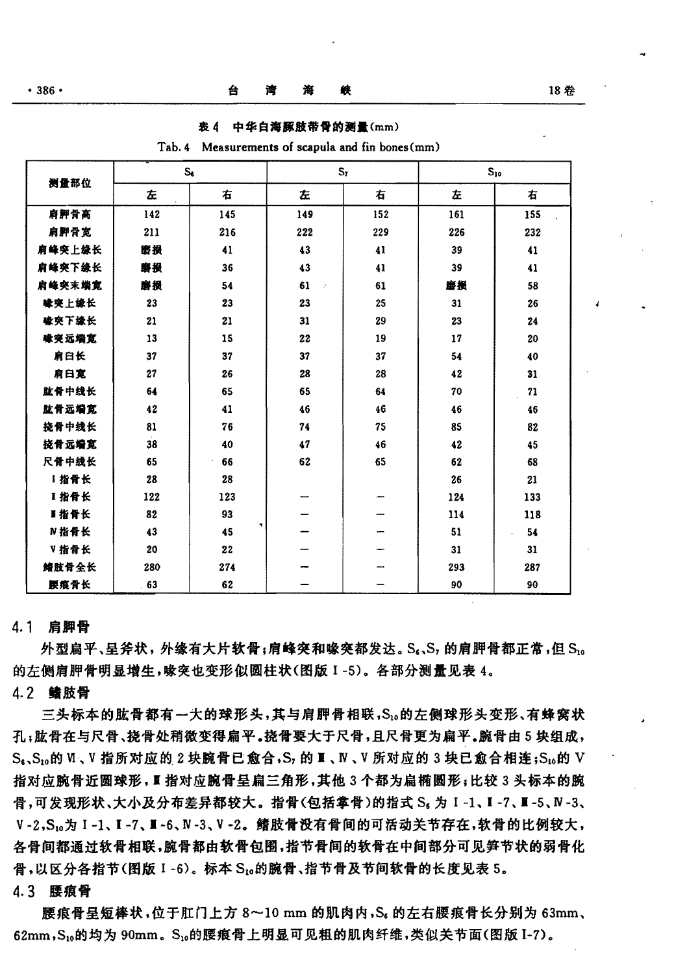18 希

| 测量部位   |     | s,  |          | S <sub>1</sub> |     | $S_{10}$ |
|--------|-----|-----|----------|----------------|-----|----------|
|        | 左   | 右   | 左        | 右              | 左   | 右        |
| 肩胛骨高   | 142 | 145 | 149      | 152            | 161 | 155      |
| 肩胛骨宽   | 211 | 216 | 222      | 229            | 226 | 232      |
| 肩峰突上缘长 | 磨损  | 41  | 43       | 41             | 39  | 41       |
| 肩峰突下缘长 | 磨损  | 36  | 43       | 41             | 39  | 41       |
| 肩峰突末端宽 | 磨损  | 54  | 61<br>b. | 61             | 磨损  | 58       |
| 橡突上缘长  | 23  | 23  | 23       | 25             | 31  | 26       |
| 橡突下缘长  | 21  | 21  | 31       | 29             | 23  | 24       |
| 喙突远端宽  | 13  | 15  | 22       | 19             | 17  | 20       |
| 肩臼长    | 37  | 37  | 37       | 37             | 54  | 40       |
| 肩臼宽    | 27  | 26  | 28       | 28             | 42  | 31       |
| 肱骨中线长  | 64  | 65  | 65       | 64             | 70  | 71       |
| 肱骨远端宽  | 42  | 41  | 46       | 46             | 46  | 46       |
| 挠骨中线长  | 81  | 76  | 74       | 75             | 85  | 82       |
| 挠骨远端宽  | 38  | 40  | 47       | 46             | 42  | 45       |
| 尺骨中线长  | 65  | 66  | 62       | 65             | 62  | 68       |
| 1 指骨长  | 28  | 28  |          |                | 26  | 21       |
| 1指骨长   | 122 | 123 |          |                | 124 | 133      |
| ■指骨长   | 82  | 93  |          |                | 114 | 118      |

表 ∆ 中华白海豚肢带骨的测量(mm)

#### Tab. 4 Measurements of scapula and fin bones (mm)

#### 4.1 启脚骨

N指骨长

V 指骨长

鳍肢骨全长

腰痕骨长

43

20

280

63

45

22

274

62

外型扁平、呈斧状, 外缘有大片软骨;肩峰突和喙突都发达。S。、S, 的肩胛骨都正常,但 S,。 的左侧肩胛骨明显增牛,喙突也变形似圆柱状(图版 1-5)。各部分测量见表 4。

51

 $31$ 

293

90

54

 $31$ 

287

90

### 4.2 鳍肢骨

三头标本的肱骨都有一大的球形头,其与肩胛骨相联,S1。的左侧球形头变形、有蜂窝状 孔;肱骨在与尺骨、挠骨处稍微变得扁平。挠骨要大于尺骨,且尺骨更为扁平。腕骨由5块组成, S.、S.。的 V、V 指所对应的 2 块腕骨已愈合,S, 的 II、N、V 所对应的 3 块已愈合相连;S.。的 V 指对应腕骨近圆球形, I 指对应腕骨呈扁三角形, 其他 3 个都为扁椭圆形; 比较 3 头标本的腕 骨,可发现形状、大小及分布差异都较大。指骨(包括掌骨)的指式 S。为 I-1、I-7、I-5、N-3、 V-2,S10为 I-1、I-7、I-6、N-3、V-2。鳍肢骨没有骨间的可活动关节存在,软骨的比例较大, 各骨间都通过软骨相联,腕骨都由软骨包围,指节骨间的软骨在中间部分可见笋节状的弱骨化 骨,以区分各指节(图版 I-6)。标本 S10的腕骨、指节骨及节间软骨的长度见表 5。

#### 4.3 腰痕骨

腰痕骨呈短棒状,位于肛门上方 8~10 mm 的肌肉内,Sg 的左右腰痕骨长分别为 63mm、 62mm, S, 的均为 90mm。S, 的腰痕骨上明显可见粗的肌肉纤维, 类似关节面(图版 I-7)。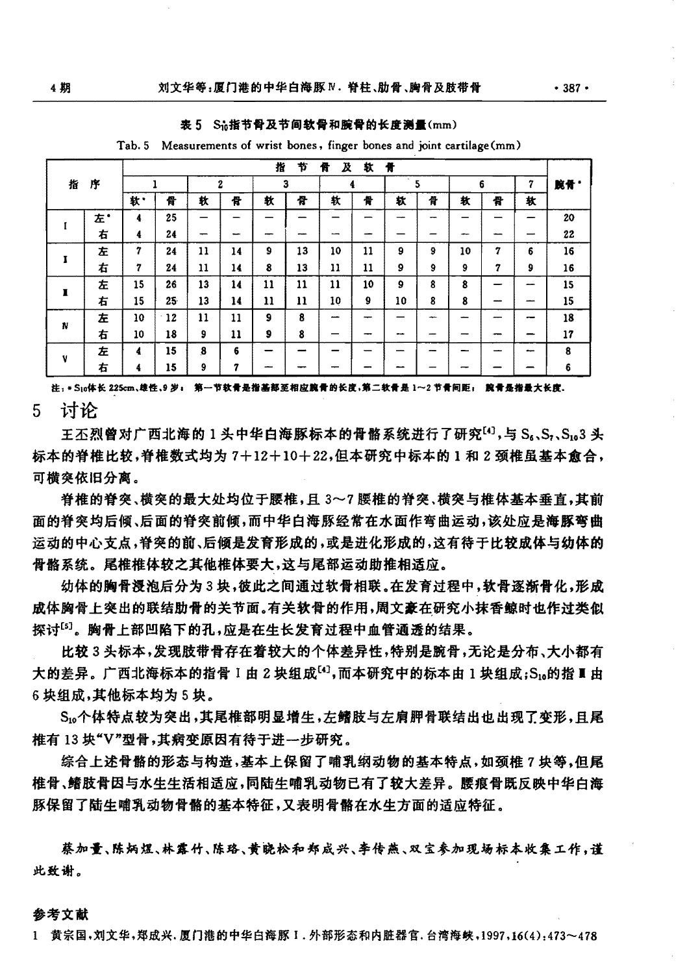表 5 Sh指节骨及节间软骨和腕骨的长度测量(mm)

|        |    |    |    |    |    | 指  | 节  | 骨<br>A | 软  | 骨                        |   |    |   |     |     |
|--------|----|----|----|----|----|----|----|--------|----|--------------------------|---|----|---|-----|-----|
| 指<br>序 |    |    |    |    | 2  | 3  |    |        |    | 5                        |   | 6  |   | 7   | 腕骨" |
|        |    | 歓  | 骨  | 軑  | 骨  | 敕  | 큐  | 软      | 骨  | 轪                        | 骨 | 软  | 骨 | 轪   |     |
|        | 左* | 4  | 25 |    |    |    |    |        |    |                          |   |    |   |     | 20  |
|        |    | 4  | 24 |    |    |    |    |        |    |                          |   |    |   |     | 22  |
|        | 左  | 7  | 24 | 11 | 14 | 9  | 13 | 10     | 11 | 9                        | 9 | 10 | 7 | 6   | 16  |
|        | 右  | 7  | 24 | 11 | 14 | 8  | 13 | 11     | 11 | 9                        | 9 | 9  | 7 | 9   | 16  |
|        | 左  | 15 | 26 | 13 | 14 | 11 | 11 | 11     | 10 | 9                        | 8 | 8  |   | --- | 15  |
| ı      | 右  | 15 | 25 | 13 | 14 | 11 | 11 | 10     | 9  | 10                       | 8 | 8  |   |     | 15  |
|        | 左  | 10 | 12 | 11 | 11 | 9  | 8  |        |    |                          |   |    |   |     | 18  |
| N      | 右  | 10 | 18 | 9  | 11 | 9  | 8  |        |    | $\overline{\phantom{a}}$ |   |    |   |     | 17  |
|        | 左  | 4  | 15 | 8  | 6  |    |    |        |    |                          |   |    |   |     | 8   |
| v      | 右  | 4  | 15 | 9  | 7  |    |    |        |    |                          |   |    |   |     | 6   |

Tab. 5 Measurements of wrist bones, finger bones and joint cartilage (mm)

注: \* S10体长 225cm、雄性、9 岁; 第一节软骨是指基部至相应腕骨的长度,第二软骨是 1~2 节骨间距; 腕骨是指最大长度。

讨论 5.

王不烈曾对广西北海的1头中华白海豚标本的骨骼系统进行了研究[4],与 Sk, S, Sha3 头 标本的脊椎比较,脊椎数式均为7+12+10+22,但本研究中标本的1和2颈椎虽基本愈合, 可横突依旧分离。

脊椎的脊突、横突的最大处均位于腰椎,且3~7腰椎的脊突、横突与椎体基本垂直,其前 面的脊突均后倾、后面的脊突前倾,而中华白海豚经常在水面作弯曲运动,该处应是海豚弯曲 运动的中心支点,脊突的前、后倾是发育形成的,或是进化形成的,这有待于比较成体与幼体的 骨骼系统。尾椎椎体较之其他椎体要大,这与尾部运动助推相适应。

幼体的胸骨浸泡后分为3块,彼此之间通过软骨相联。在发育过程中,软骨逐渐骨化,形成 成体胸骨上突出的联结肋骨的关节面。有关软骨的作用,周文豪在研究小抹香鲸时也作过类似 探讨[5]。胸骨上部凹陷下的孔,应是在生长发育过程中血管通透的结果。

比较3头标本,发现肢带骨存在着较大的个体差异性,特别是腕骨,无论是分布、大小都有 大的差异。广西北海标本的指骨 I 由 2 块组成[4],而本研究中的标本由 1 块组成;S1a的指 I 由 6块组成,其他标本均为5块。

S10个体特点较为突出,其尾椎部明显增生,左鳍肢与左肩胛骨联结出也出现了变形,且尾 椎有 13 块"V"型骨,其病变原因有待于进一步研究。

综合上述骨骼的形态与构造,基本上保留了哺乳纲动物的基本特点,如颈椎7块等,但尾 椎骨、鳍肢骨因与水生生活相适应,同陆生哺乳动物已有了较大差异。 腰痕骨既反映中华白海 豚保留了陆生哺乳动物骨骼的基本特征,又表明骨骼在水生方面的适应特征。

蔡加量、陈炳煜、林露竹、陈珞、黄晓松和郑成兴、李传燕、双宝参加现场标本收集工作,谨 此致谢。

参考文献

1 黄宗国,刘文华,郑成兴,厦门港的中华白海豚 1.外部形态和内脏器官,台湾海峡,1997,16(4):473~478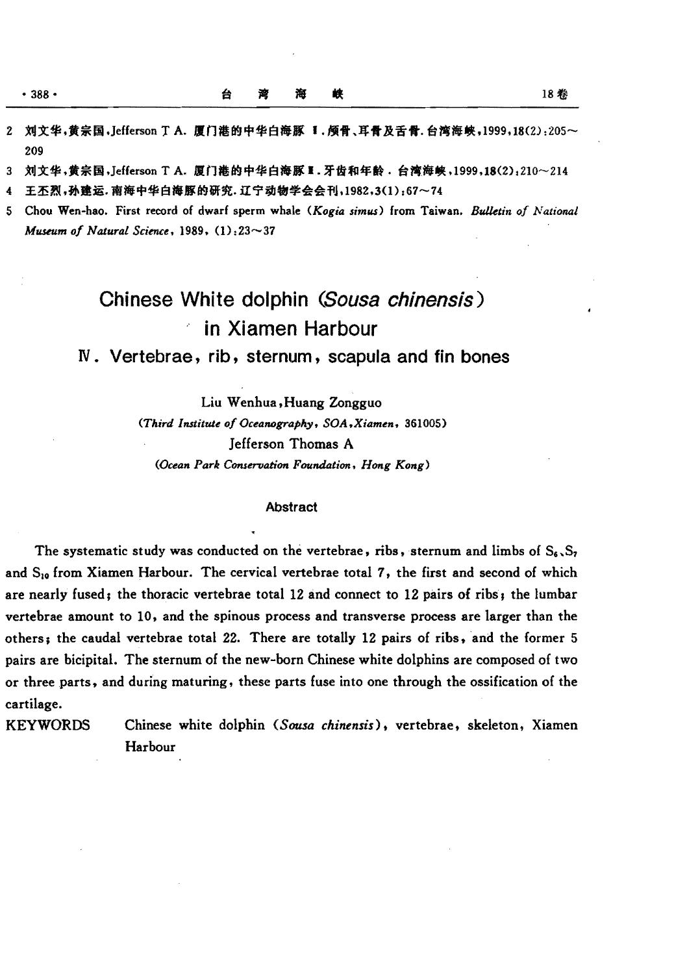209

梭 淹 遭

3 刘文华,黄宗国,Jefferson T A. 厦门港的中华白海豚 H. 牙齿和年龄, 台湾海峡,1999,18(2):210~214

4 王丕烈,孙建运.南海中华白海豚的研究.辽宁动物学会会刊,1982,3(1):67~74

台

5 Chou Wen-hao. First record of dwarf sperm whale *(Kogia simus)* from Taiwan. *BuJ.ktin of National Museum of Natural Science*, 1989, (1):23~37

# Chinese White dolphin (Sousa chinensis) in Xiamen Harbour

IV. Vertebrae, rib, sternum, scapula and fin bones

Liu Wenhua, Huang Zongguo

(Third Institute of Oceanography, SOA, Xiamen, 361005) Jefferson Thomas A *(Ocean Park Conservation Foundation. Hong Kong)* 

#### Abstract

The systematic study was conducted on the vertebrae, ribs, sternum and limbs of  $S_6$ ,  $S_7$ and  $S_{10}$  from Xiamen Harbour. The cervical vertebrae total 7, the first and second of which are nearly fused; the thoracic vertebrae total 12 and connect to 12 pairs of ribs; the lumbar vertebrae amount to 10, and the spinous process and transverse process are larger than the others; the caudal vertebrae total 22. There are totally 12 pairs of ribs, and the former 5 pairs are bicipital. The sternum of the new-born Chinese white dolphins are composed of two or three parts, and during maturing, these parts fuse into one through the ossification of the cartilage.

KEYWORDS Chinese white dolphin *(Sousa chinensis)*, vertebrae, skeleton, Xiamen Harbour